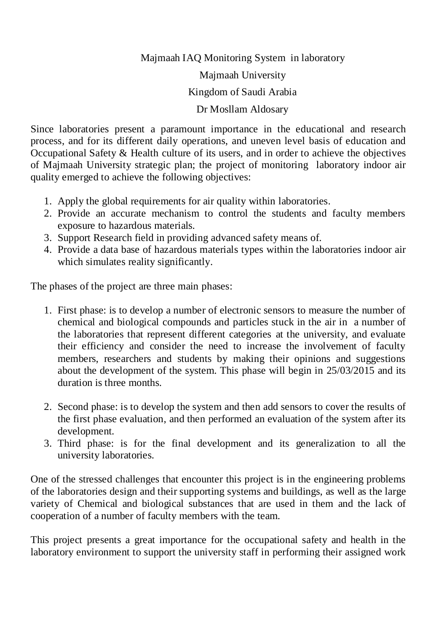Majmaah IAQ Monitoring System in laboratory

Majmaah University

Kingdom of Saudi Arabia

## Dr Mosllam Aldosary

Since laboratories present a paramount importance in the educational and research process, and for its different daily operations, and uneven level basis of education and Occupational Safety & Health culture of its users, and in order to achieve the objectives of Majmaah University strategic plan; the project of monitoring laboratory indoor air quality emerged to achieve the following objectives:

- 1. Apply the global requirements for air quality within laboratories.
- 2. Provide an accurate mechanism to control the students and faculty members exposure to hazardous materials.
- 3. Support Research field in providing advanced safety means of.
- 4. Provide a data base of hazardous materials types within the laboratories indoor air which simulates reality significantly.

The phases of the project are three main phases:

- 1. First phase: is to develop a number of electronic sensors to measure the number of chemical and biological compounds and particles stuck in the air in a number of the laboratories that represent different categories at the university, and evaluate their efficiency and consider the need to increase the involvement of faculty members, researchers and students by making their opinions and suggestions about the development of the system. This phase will begin in 25/03/2015 and its duration is three months.
- 2. Second phase: is to develop the system and then add sensors to cover the results of the first phase evaluation, and then performed an evaluation of the system after its development.
- 3. Third phase: is for the final development and its generalization to all the university laboratories.

One of the stressed challenges that encounter this project is in the engineering problems of the laboratories design and their supporting systems and buildings, as well as the large variety of Chemical and biological substances that are used in them and the lack of cooperation of a number of faculty members with the team.

This project presents a great importance for the occupational safety and health in the laboratory environment to support the university staff in performing their assigned work